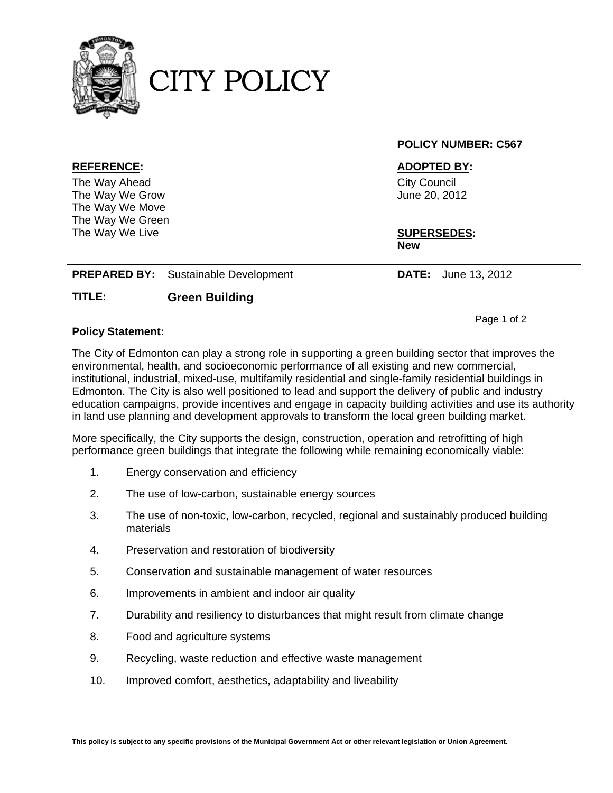

CITY POLICY

**POLICY NUMBER: C567 REFERENCE: ADOPTED BY:**  The Way Ahead The Way We Grow The Way We Move The Way We Green The Way We Live City Council June 20, 2012 **SUPERSEDES: New PREPARED BY:** Sustainable Development **DATE:** June 13, 2012 **TITLE: Green Building**

## **Policy Statement:**

The City of Edmonton can play a strong role in supporting a green building sector that improves the environmental, health, and socioeconomic performance of all existing and new commercial, institutional, industrial, mixed-use, multifamily residential and single-family residential buildings in Edmonton. The City is also well positioned to lead and support the delivery of public and industry education campaigns, provide incentives and engage in capacity building activities and use its authority in land use planning and development approvals to transform the local green building market.

Page 1 of 2

More specifically, the City supports the design, construction, operation and retrofitting of high performance green buildings that integrate the following while remaining economically viable:

- 1. Energy conservation and efficiency
- 2. The use of low-carbon, sustainable energy sources
- 3. The use of non-toxic, low-carbon, recycled, regional and sustainably produced building materials
- 4. Preservation and restoration of biodiversity
- 5. Conservation and sustainable management of water resources
- 6. Improvements in ambient and indoor air quality
- 7. Durability and resiliency to disturbances that might result from climate change
- 8. Food and agriculture systems
- 9. Recycling, waste reduction and effective waste management
- 10. Improved comfort, aesthetics, adaptability and liveability